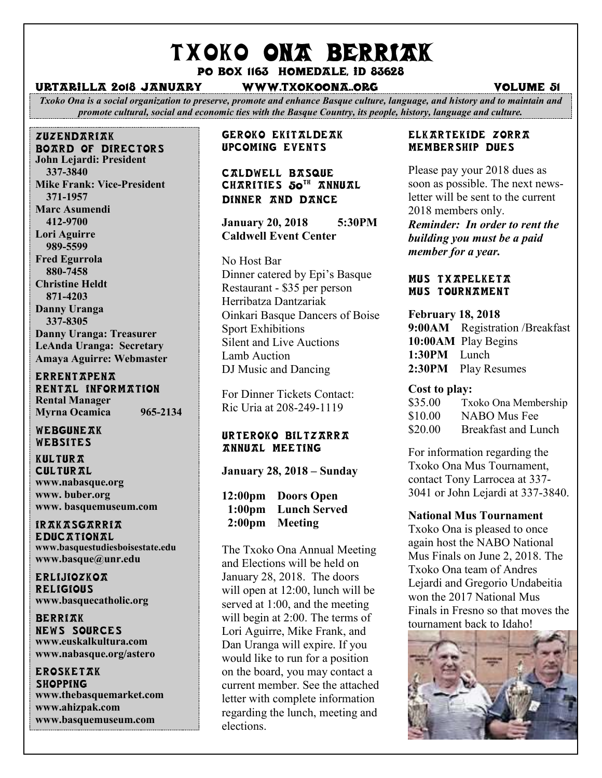# TXOKO ONA BERRIAK

Po box 1163 homedale, id 83628

#### urtarilla 2018 january www.txokoona..org volume 51

*Txoko Ona is a social organization to preserve, promote and enhance Basque culture, language, and history and to maintain and promote cultural, social and economic ties with the Basque Country, its people, history, language and culture.*

zuzendariak board of directors **John Lejardi: President 337-3840 Mike Frank: Vice-President 371-1957 Marc Asumendi 412-9700 Lori Aguirre 989-5599 Fred Egurrola 880-7458 Christine Heldt 871-4203 Danny Uranga 337-8305 Danny Uranga: Treasurer LeAnda Uranga: Secretary Amaya Aguirre: Webmaster**

**ERRENTAPENA** RENTAL INFORMATION **Rental Manager Myrna Ocamica 965-2134**

WEBGUNEAK Websites

**KULTURA CULTURAL www.nabasque.org www. buber.org www. basquemuseum.com** 

irakasgarria **EDUCATIONAL www.basquestudiesboisestate.edu www.basque@unr.edu**

**ERLijiozkoa RELIGIOUS www.basquecatholic.org**

**BERRIAK** news sources **www.euskalkultura.com www.nabasque.org/astero**

**EROSKETAK SHOPPING www.thebasquemarket.com www.ahizpak.com www.basquemuseum.com**

Geroko Ekitaldeak Upcoming events

# Caldwell Basque CHARITIES 50TH ANNUAL Dinner and Dance

**January 20, 2018 5:30PM Caldwell Event Center**

No Host Bar Dinner catered by Epi's Basque Restaurant - \$35 per person Herribatza Dantzariak Oinkari Basque Dancers of Boise Sport Exhibitions Silent and Live Auctions Lamb Auction DJ Music and Dancing

For Dinner Tickets Contact: Ric Uria at 208-249-1119

#### Urteroko Biltzarra annual meeting

**January 28, 2018 – Sunday**

**12:00pm Doors Open 1:00pm Lunch Served 2:00pm Meeting** 

The Txoko Ona Annual Meeting and Elections will be held on January 28, 2018. The doors will open at 12:00, lunch will be served at 1:00, and the meeting will begin at 2:00. The terms of Lori Aguirre, Mike Frank, and Dan Uranga will expire. If you would like to run for a position on the board, you may contact a current member. See the attached letter with complete information regarding the lunch, meeting and elections.

#### Elkartekide zorra Membership Dues

Please pay your 2018 dues as soon as possible. The next newsletter will be sent to the current 2018 members only.

*Reminder: In order to rent the building you must be a paid member for a year.*

#### Mus txapelketa Mus Tournament

**February 18, 2018 9:00AM** Registration /Breakfast **10:00AM** Play Begins **1:30PM** Lunch **2:30PM** Play Resumes

#### **Cost to play:**

| \$35.00 | Txoko Ona Membership |
|---------|----------------------|
| \$10.00 | NABO Mus Fee         |
| \$20.00 | Breakfast and Lunch  |

For information regarding the Txoko Ona Mus Tournament, contact Tony Larrocea at 337- 3041 or John Lejardi at 337-3840.

# **National Mus Tournament**

Txoko Ona is pleased to once again host the NABO National Mus Finals on June 2, 2018. The Txoko Ona team of Andres Lejardi and Gregorio Undabeitia won the 2017 National Mus Finals in Fresno so that moves the tournament back to Idaho!